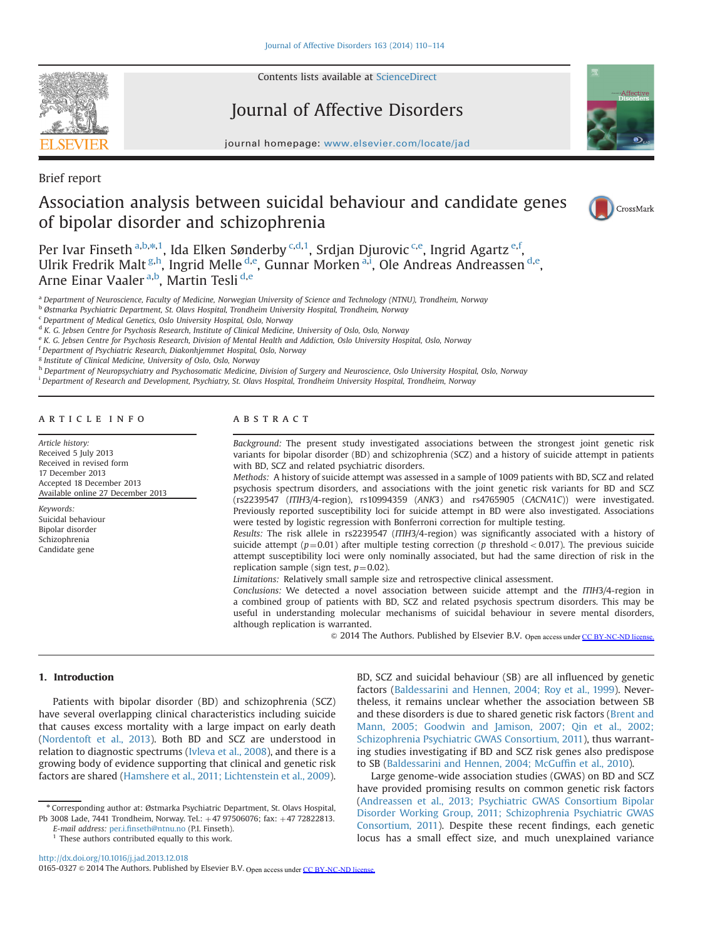

Contents lists available at [ScienceDirect](www.sciencedirect.com/science/journal/01650327)

# Journal of Affective Disorders



journal homepage: <www.elsevier.com/locate/jad>

Brief report

# Association analysis between suicidal behaviour and candidate genes of bipolar disorder and schizophrenia



Per Ivar Finseth <sup>a,b,</sup>\*,1, Ida Elken Sønderby <sup>c,d,1</sup>, Srdjan Djurovic <sup>c,e</sup>, Ingrid Agartz <sup>e,f</sup>, Ulrik Fredrik Malt<sup>g,h</sup>, Ingrid Melle <sup>d,e</sup>, Gunnar Morken <sup>a,i</sup>, Ole Andreas Andreassen <sup>d,e</sup>, Arne Einar Vaaler <sup>a,b</sup>, Martin Tesli <sup>d,e</sup>

a Department of Neuroscience, Faculty of Medicine, Norwegian University of Science and Technology (NTNU), Trondheim, Norway

<sup>b</sup> Østmarka Psychiatric Department, St. Olavs Hospital, Trondheim University Hospital, Trondheim, Norway

<sup>c</sup> Department of Medical Genetics, Oslo University Hospital, Oslo, Norway

<sup>d</sup> K. G. Jebsen Centre for Psychosis Research, Institute of Clinical Medicine, University of Oslo, Oslo, Norway

<sup>e</sup> K. G. Jebsen Centre for Psychosis Research, Division of Mental Health and Addiction, Oslo University Hospital, Oslo, Norway

<sup>f</sup> Department of Psychiatric Research, Diakonhjemmet Hospital, Oslo, Norway

<sup>g</sup> Institute of Clinical Medicine, University of Oslo, Oslo, Norway

h Department of Neuropsychiatry and Psychosomatic Medicine, Division of Surgery and Neuroscience, Oslo University Hospital, Oslo, Norway

i Department of Research and Development, Psychiatry, St. Olavs Hospital, Trondheim University Hospital, Trondheim, Norway

# article info

Article history: Received 5 July 2013 Received in revised form 17 December 2013 Accepted 18 December 2013 Available online 27 December 2013

Keywords: Suicidal behaviour Bipolar disorder Schizophrenia Candidate gene

# ABSTRACT

Background: The present study investigated associations between the strongest joint genetic risk variants for bipolar disorder (BD) and schizophrenia (SCZ) and a history of suicide attempt in patients with BD, SCZ and related psychiatric disorders.

Methods: A history of suicide attempt was assessed in a sample of 1009 patients with BD, SCZ and related psychosis spectrum disorders, and associations with the joint genetic risk variants for BD and SCZ (rs2239547 (ITIH3/4-region), rs10994359 (ANK3) and rs4765905 (CACNA1C)) were investigated. Previously reported susceptibility loci for suicide attempt in BD were also investigated. Associations were tested by logistic regression with Bonferroni correction for multiple testing.

Results: The risk allele in rs2239547 (ITIH3/4-region) was significantly associated with a history of suicide attempt ( $p=0.01$ ) after multiple testing correction (p threshold < 0.017). The previous suicide attempt susceptibility loci were only nominally associated, but had the same direction of risk in the replication sample (sign test,  $p=0.02$ ).

Limitations: Relatively small sample size and retrospective clinical assessment.

Conclusions: We detected a novel association between suicide attempt and the ITIH3/4-region in a combined group of patients with BD, SCZ and related psychosis spectrum disorders. This may be useful in understanding molecular mechanisms of suicidal behaviour in severe mental disorders, although replication is warranted.

 $\odot$  2014 The Authors. Published by Elsevier B.V. Open access under [CC BY-NC-ND license.](http://creativecommons.org/licenses/by-nc-nd/3.0/)

## 1. Introduction

Patients with bipolar disorder (BD) and schizophrenia (SCZ) have several overlapping clinical characteristics including suicide that causes excess mortality with a large impact on early death ([Nordentoft et al., 2013](#page-4-0)). Both BD and SCZ are understood in relation to diagnostic spectrums ([Ivleva et al., 2008\)](#page-4-0), and there is a growing body of evidence supporting that clinical and genetic risk factors are shared [\(Hamshere et al., 2011; Lichtenstein et al., 2009\)](#page-4-0).

<sup>n</sup> Corresponding author at: Østmarka Psychiatric Department, St. Olavs Hospital, Pb 3008 Lade, 7441 Trondheim, Norway. Tel.: +47 97506076; fax: +47 72822813.

E-mail address: per.i.fi[nseth@ntnu.no](mailto:per.i.finseth@ntnu.no) (P.I. Finseth).

 $1$  These authors contributed equally to this work.

BD, SCZ and suicidal behaviour (SB) are all influenced by genetic factors [\(Baldessarini and Hennen, 2004; Roy et al., 1999](#page-4-0)). Nevertheless, it remains unclear whether the association between SB and these disorders is due to shared genetic risk factors ([Brent and](#page-3-0) [Mann, 2005; Goodwin and Jamison, 2007; Qin et al., 2002;](#page-4-0) [Schizophrenia Psychiatric GWAS Consortium, 2011\)](#page-4-0), thus warranting studies investigating if BD and SCZ risk genes also predispose to SB [\(Baldessarini and Hennen, 2004; McGuf](#page-4-0)fin et al., 2010).

Large genome-wide association studies (GWAS) on BD and SCZ have provided promising results on common genetic risk factors ([Andreassen et al., 2013; Psychiatric GWAS Consortium Bipolar](#page-4-0) [Disorder Working Group, 2011; Schizophrenia Psychiatric GWAS](#page-4-0) [Consortium, 2011](#page-4-0)). Despite these recent findings, each genetic locus has a small effect size, and much unexplained variance

<http://dx.doi.org/10.1016/j.jad.2013.12.018>

<sup>0165-0327</sup> & 2014 The Authors. Published by Elsevier B.V. Open access under [CC BY-NC-ND license.](http://creativecommons.org/licenses/by-nc-nd/3.0/)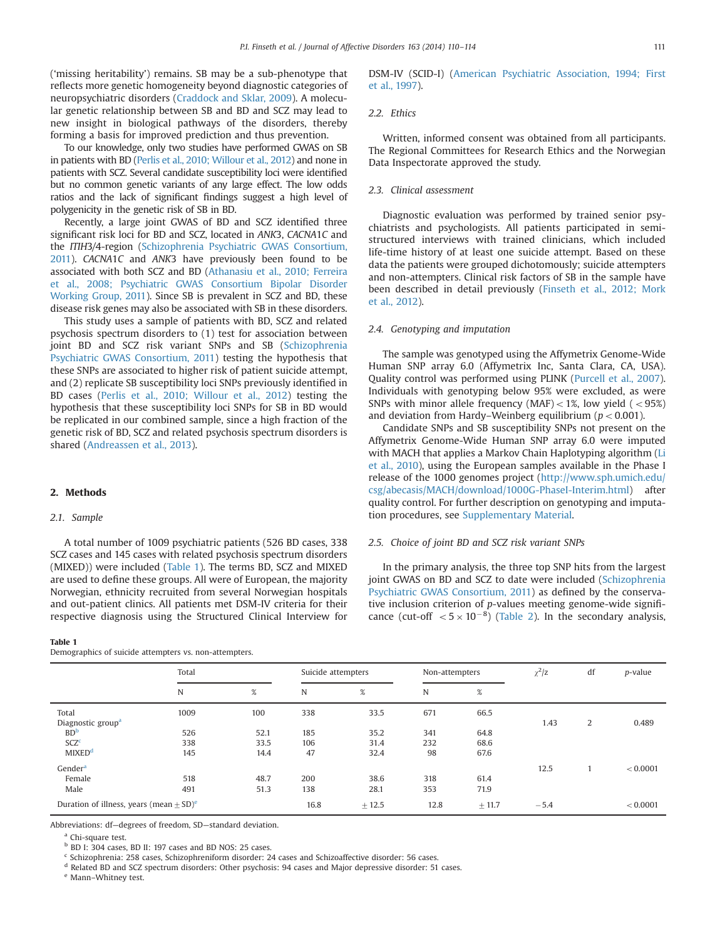<span id="page-1-0"></span>('missing heritability') remains. SB may be a sub-phenotype that reflects more genetic homogeneity beyond diagnostic categories of neuropsychiatric disorders [\(Craddock and Sklar, 2009\)](#page-3-0). A molecular genetic relationship between SB and BD and SCZ may lead to new insight in biological pathways of the disorders, thereby forming a basis for improved prediction and thus prevention.

To our knowledge, only two studies have performed GWAS on SB in patients with BD ([Perlis et al., 2010; Willour et al., 2012](#page-4-0)) and none in patients with SCZ. Several candidate susceptibility loci were identified but no common genetic variants of any large effect. The low odds ratios and the lack of significant findings suggest a high level of polygenicity in the genetic risk of SB in BD.

Recently, a large joint GWAS of BD and SCZ identified three significant risk loci for BD and SCZ, located in ANK3, CACNA1C and the ITIH3/4-region ([Schizophrenia Psychiatric GWAS Consortium,](#page-4-0) [2011](#page-4-0)). CACNA1C and ANK3 have previously been found to be associated with both SCZ and BD [\(Athanasiu et al., 2010; Ferreira](#page-3-0) [et al., 2008; Psychiatric GWAS Consortium Bipolar Disorder](#page-4-0) [Working Group, 2011](#page-4-0)). Since SB is prevalent in SCZ and BD, these disease risk genes may also be associated with SB in these disorders.

This study uses a sample of patients with BD, SCZ and related psychosis spectrum disorders to (1) test for association between joint BD and SCZ risk variant SNPs and SB [\(Schizophrenia](#page-4-0) [Psychiatric GWAS Consortium, 2011\)](#page-4-0) testing the hypothesis that these SNPs are associated to higher risk of patient suicide attempt, and (2) replicate SB susceptibility loci SNPs previously identified in BD cases [\(Perlis et al., 2010; Willour et al., 2012\)](#page-4-0) testing the hypothesis that these susceptibility loci SNPs for SB in BD would be replicated in our combined sample, since a high fraction of the genetic risk of BD, SCZ and related psychosis spectrum disorders is shared ([Andreassen et al., 2013\)](#page-3-0).

## 2. Methods

## 2.1. Sample

A total number of 1009 psychiatric patients (526 BD cases, 338 SCZ cases and 145 cases with related psychosis spectrum disorders (MIXED)) were included (Table 1). The terms BD, SCZ and MIXED are used to define these groups. All were of European, the majority Norwegian, ethnicity recruited from several Norwegian hospitals and out-patient clinics. All patients met DSM-IV criteria for their respective diagnosis using the Structured Clinical Interview for

#### Table 1

Demographics of suicide attempters vs. non-attempters.

DSM-IV (SCID-I) [\(American Psychiatric Association, 1994; First](#page-3-0) [et al., 1997\)](#page-3-0).

# 2.2. Ethics

Written, informed consent was obtained from all participants. The Regional Committees for Research Ethics and the Norwegian Data Inspectorate approved the study.

## 2.3. Clinical assessment

Diagnostic evaluation was performed by trained senior psychiatrists and psychologists. All patients participated in semistructured interviews with trained clinicians, which included life-time history of at least one suicide attempt. Based on these data the patients were grouped dichotomously; suicide attempters and non-attempters. Clinical risk factors of SB in the sample have been described in detail previously ([Finseth et al., 2012; Mork](#page-4-0) [et al., 2012](#page-4-0)).

## 2.4. Genotyping and imputation

The sample was genotyped using the Affymetrix Genome-Wide Human SNP array 6.0 (Affymetrix Inc, Santa Clara, CA, USA). Quality control was performed using PLINK [\(Purcell et al., 2007\)](#page-4-0). Individuals with genotyping below 95% were excluded, as were SNPs with minor allele frequency (MAF) $<$  1%, low yield ( $<$  95%) and deviation from Hardy–Weinberg equilibrium ( $p < 0.001$ ).

Candidate SNPs and SB susceptibility SNPs not present on the Affymetrix Genome-Wide Human SNP array 6.0 were imputed with MACH that applies a Markov Chain Haplotyping algorithm [\(Li](#page-4-0) [et al., 2010\)](#page-4-0), using the European samples available in the Phase I release of the 1000 genomes project [\(http://www.sph.umich.edu/](http://www.sph.umich.edu/csg/abecasis/MACH/download/1000G-PhaseI-Interim.html) [csg/abecasis/MACH/download/1000G-PhaseI-Interim.html\)](http://www.sph.umich.edu/csg/abecasis/MACH/download/1000G-PhaseI-Interim.html) after quality control. For further description on genotyping and imputation procedures, see [Supplementary Material](#page-3-0).

## 2.5. Choice of joint BD and SCZ risk variant SNPs

In the primary analysis, the three top SNP hits from the largest joint GWAS on BD and SCZ to date were included [\(Schizophrenia](#page-4-0) [Psychiatric GWAS Consortium, 2011](#page-4-0)) as defined by the conservative inclusion criterion of p-values meeting genome-wide significance (cut-off  $\langle 5 \times 10^{-8} \rangle$  [\(Table 2\)](#page-2-0). In the secondary analysis,

|                                                     | Total |      | Suicide attempters |         | Non-attempters |        | $\chi^2$ /z | df | p-value  |  |
|-----------------------------------------------------|-------|------|--------------------|---------|----------------|--------|-------------|----|----------|--|
|                                                     | N     | %    | N                  | $\%$    | N              | $\%$   |             |    |          |  |
| Total                                               | 1009  | 100  | 338                | 33.5    | 671            | 66.5   |             |    |          |  |
| Diagnostic group <sup>a</sup>                       |       |      |                    |         |                |        | 1.43        | 2  | 0.489    |  |
| BD <sup>b</sup>                                     | 526   | 52.1 | 185                | 35.2    | 341            | 64.8   |             |    |          |  |
| SCZ <sup>c</sup>                                    | 338   | 33.5 | 106                | 31.4    | 232            | 68.6   |             |    |          |  |
| MIXED <sup>d</sup>                                  | 145   | 14.4 | 47                 | 32.4    | 98             | 67.6   |             |    |          |  |
| Gender <sup>a</sup>                                 |       |      |                    |         |                |        | 12.5        |    | < 0.0001 |  |
| Female                                              | 518   | 48.7 | 200                | 38.6    | 318            | 61.4   |             |    |          |  |
| Male                                                | 491   | 51.3 | 138                | 28.1    | 353            | 71.9   |             |    |          |  |
| Duration of illness, years (mean + SD) <sup>e</sup> |       |      | 16.8               | $+12.5$ | 12.8           | ± 11.7 | $-5.4$      |    | < 0.0001 |  |

Abbreviations: df—degrees of freedom, SD—standard deviation.

<sup>a</sup> Chi-square test.

<sup>b</sup> BD I: 304 cases, BD II: 197 cases and BD NOS: 25 cases.

<sup>c</sup> Schizophrenia: 258 cases, Schizophreniform disorder: 24 cases and Schizoaffective disorder: 56 cases.

<sup>d</sup> Related BD and SCZ spectrum disorders: Other psychosis: 94 cases and Major depressive disorder: 51 cases.

<sup>e</sup> Mann–Whitney test.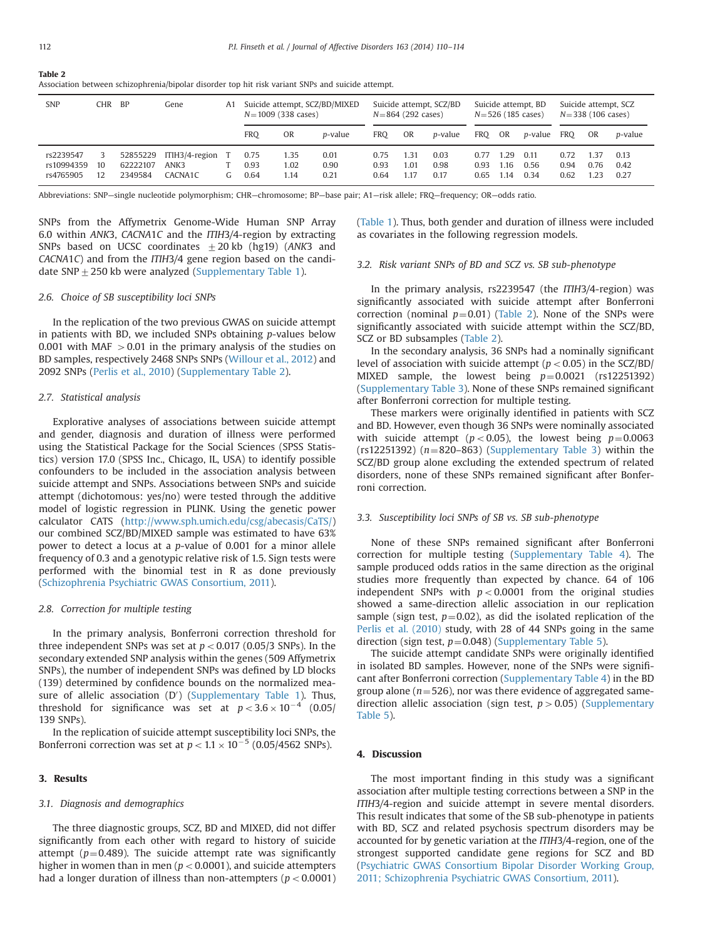<span id="page-2-0"></span>

| Table 2    |        |      |    | Association between schizophrenia/bipolar disorder top hit risk variant SNPs and suicide attempt. |                                                  |                                              |                                             |
|------------|--------|------|----|---------------------------------------------------------------------------------------------------|--------------------------------------------------|----------------------------------------------|---------------------------------------------|
| <b>SNP</b> | CHR BP | Gene | A1 | Suicide attempt, SCZ/BD/MIXED<br>$N = 1009$ (338 cases)                                           | Suicide attempt, SCZ/BD<br>$N = 864$ (292 cases) | Suicide attempt, BD<br>$N = 526$ (185 cases) | Suicide attempt, SCZ<br>$N=338$ (106 cases) |

|                                      |          |                     |                                            |    | $N=1009$ (338 cases) |                      |                      |                      | $N = 864$ (292 cases) |                      | $N = 526$ (185 cases) |                      |                      | $N=338(106 \text{ cases})$ |                      |                      |
|--------------------------------------|----------|---------------------|--------------------------------------------|----|----------------------|----------------------|----------------------|----------------------|-----------------------|----------------------|-----------------------|----------------------|----------------------|----------------------------|----------------------|----------------------|
|                                      |          |                     |                                            |    | <b>FRO</b>           | <b>OR</b>            | <i>p</i> -value      | FRO                  | OR                    | <i>p</i> -value      | FRO                   | OR                   | <i>p</i> -value      | <b>FRO</b>                 | OR.                  | <i>p</i> -value      |
| rs2239547<br>rs10994359<br>rs4765905 | 10<br>12 | 62222107<br>2349584 | 52855229 ITIH3/4-region<br>ANK3<br>CACNA1C | G. | 0.75<br>0.93<br>0.64 | 1.35<br>1.02<br>l.14 | 0.01<br>0.90<br>0.21 | 0.75<br>0.93<br>0.64 | 1.31<br>1.01<br>l.17  | 0.03<br>0.98<br>0.17 | 0.77<br>0.93<br>0.65  | 1.29<br>1.16<br>1.14 | 0.11<br>0.56<br>0.34 | 0.72<br>0.94<br>0.62       | 1.37<br>0.76<br>1.23 | 0.13<br>0.42<br>0.27 |

Abbreviations: SNP—single nucleotide polymorphism; CHR—chromosome; BP—base pair; A1—risk allele; FRQ—frequency; OR—odds ratio.

SNPs from the Affymetrix Genome-Wide Human SNP Array 6.0 within ANK3, CACNA1C and the ITIH3/4-region by extracting SNPs based on UCSC coordinates  $\pm 20$  kb (hg19) (ANK3 and CACNA1C) and from the ITIH3/4 gene region based on the candidate SNP  $\pm$  250 kb were analyzed [\(Supplementary Table 1](#page-3-0)).

#### 2.6. Choice of SB susceptibility loci SNPs

In the replication of the two previous GWAS on suicide attempt in patients with BD, we included SNPs obtaining p-values below 0.001 with MAF  $>$  0.01 in the primary analysis of the studies on BD samples, respectively 2468 SNPs SNPs [\(Willour et al., 2012](#page-4-0)) and 2092 SNPs ([Perlis et al., 2010](#page-4-0)) ([Supplementary Table 2\)](#page-3-0).

## 2.7. Statistical analysis

Explorative analyses of associations between suicide attempt and gender, diagnosis and duration of illness were performed using the Statistical Package for the Social Sciences (SPSS Statistics) version 17.0 (SPSS Inc., Chicago, IL, USA) to identify possible confounders to be included in the association analysis between suicide attempt and SNPs. Associations between SNPs and suicide attempt (dichotomous: yes/no) were tested through the additive model of logistic regression in PLINK. Using the genetic power calculator CATS ([http://www.sph.umich.edu/csg/abecasis/CaTS/\)](http://www.sph.umich.edu/csg/abecasis/CaTS/) our combined SCZ/BD/MIXED sample was estimated to have 63% power to detect a locus at a p-value of 0.001 for a minor allele frequency of 0.3 and a genotypic relative risk of 1.5. Sign tests were performed with the binomial test in R as done previously ([Schizophrenia Psychiatric GWAS Consortium, 2011\)](#page-4-0).

#### 2.8. Correction for multiple testing

In the primary analysis, Bonferroni correction threshold for three independent SNPs was set at  $p < 0.017$  (0.05/3 SNPs). In the secondary extended SNP analysis within the genes (509 Affymetrix SNPs), the number of independent SNPs was defined by LD blocks (139) determined by confidence bounds on the normalized mea-sure of allelic association (D') ([Supplementary Table 1\)](#page-3-0). Thus, threshold for significance was set at  $p < 3.6 \times 10^{-4}$  (0.05/ 139 SNPs).

In the replication of suicide attempt susceptibility loci SNPs, the Bonferroni correction was set at  $p < 1.1 \times 10^{-5}$  (0.05/4562 SNPs).

## 3. Results

## 3.1. Diagnosis and demographics

The three diagnostic groups, SCZ, BD and MIXED, did not differ significantly from each other with regard to history of suicide attempt ( $p=0.489$ ). The suicide attempt rate was significantly higher in women than in men ( $p < 0.0001$ ), and suicide attempters had a longer duration of illness than non-attempters ( $p < 0.0001$ ) ([Table 1\)](#page-1-0). Thus, both gender and duration of illness were included as covariates in the following regression models.

## 3.2. Risk variant SNPs of BD and SCZ vs. SB sub-phenotype

In the primary analysis, rs2239547 (the ITIH3/4-region) was significantly associated with suicide attempt after Bonferroni correction (nominal  $p=0.01$ ) (Table 2). None of the SNPs were significantly associated with suicide attempt within the SCZ/BD, SCZ or BD subsamples (Table 2).

In the secondary analysis, 36 SNPs had a nominally significant level of association with suicide attempt ( $p < 0.05$ ) in the SCZ/BD/ MIXED sample, the lowest being  $p=0.0021$  (rs12251392) ([Supplementary Table 3\)](#page-3-0). None of these SNPs remained significant after Bonferroni correction for multiple testing.

These markers were originally identified in patients with SCZ and BD. However, even though 36 SNPs were nominally associated with suicide attempt ( $p < 0.05$ ), the lowest being  $p = 0.0063$ (rs12251392)  $(n=820-863)$  [\(Supplementary Table 3\)](#page-3-0) within the SCZ/BD group alone excluding the extended spectrum of related disorders, none of these SNPs remained significant after Bonferroni correction.

## 3.3. Susceptibility loci SNPs of SB vs. SB sub-phenotype

None of these SNPs remained significant after Bonferroni correction for multiple testing [\(Supplementary Table 4](#page-3-0)). The sample produced odds ratios in the same direction as the original studies more frequently than expected by chance. 64 of 106 independent SNPs with  $p < 0.0001$  from the original studies showed a same-direction allelic association in our replication sample (sign test,  $p=0.02$ ), as did the isolated replication of the [Perlis et al. \(2010\)](#page-4-0) study, with 28 of 44 SNPs going in the same direction (sign test,  $p=0.048$ ) ([Supplementary Table 5\)](#page-3-0).

The suicide attempt candidate SNPs were originally identified in isolated BD samples. However, none of the SNPs were significant after Bonferroni correction ([Supplementary Table 4\)](#page-3-0) in the BD group alone ( $n=526$ ), nor was there evidence of aggregated samedirection allelic association (sign test,  $p > 0.05$ ) ([Supplementary](#page-3-0) [Table 5](#page-3-0)).

#### 4. Discussion

The most important finding in this study was a significant association after multiple testing corrections between a SNP in the ITIH3/4-region and suicide attempt in severe mental disorders. This result indicates that some of the SB sub-phenotype in patients with BD, SCZ and related psychosis spectrum disorders may be accounted for by genetic variation at the ITIH3/4-region, one of the strongest supported candidate gene regions for SCZ and BD ([Psychiatric GWAS Consortium Bipolar Disorder Working Group,](#page-4-0) [2011; Schizophrenia Psychiatric GWAS Consortium, 2011](#page-4-0)).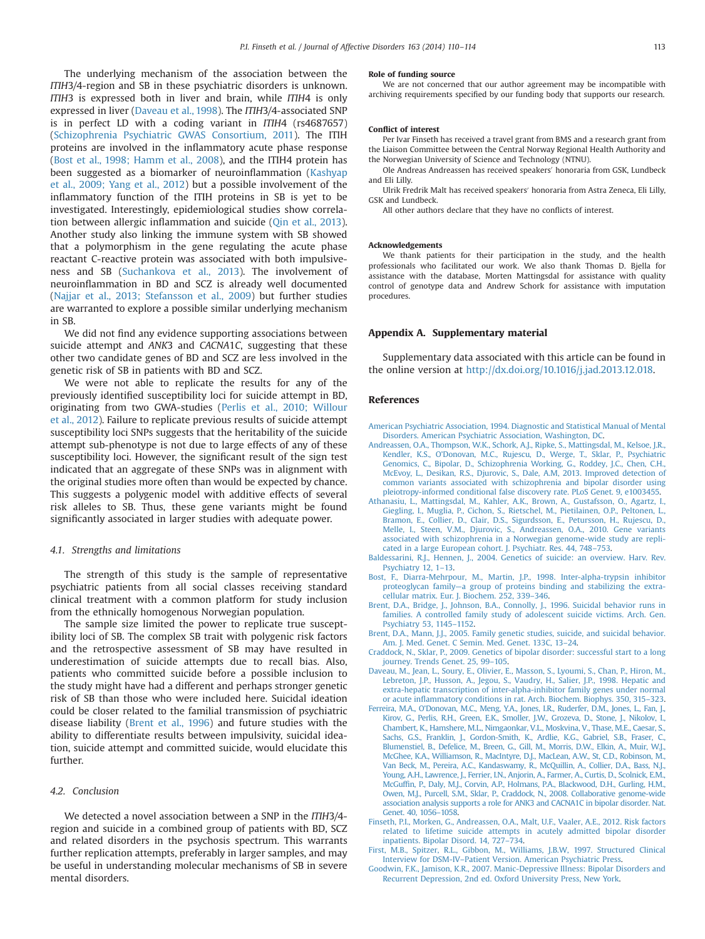<span id="page-3-0"></span>The underlying mechanism of the association between the ITIH3/4-region and SB in these psychiatric disorders is unknown. ITIH3 is expressed both in liver and brain, while ITIH4 is only expressed in liver (Daveau et al., 1998). The ITIH3/4-associated SNP is in perfect LD with a coding variant in ITIH4 (rs4687657) ([Schizophrenia Psychiatric GWAS Consortium, 2011](#page-4-0)). The ITIH proteins are involved in the inflammatory acute phase response ([Bost et al., 1998; Hamm et al., 2008](#page-4-0)), and the ITIH4 protein has been suggested as a biomarker of neuroinflammation [\(Kashyap](#page-4-0) [et al., 2009; Yang et al., 2012](#page-4-0)) but a possible involvement of the inflammatory function of the ITIH proteins in SB is yet to be investigated. Interestingly, epidemiological studies show correlation between allergic inflammation and suicide ([Qin et al., 2013\)](#page-4-0). Another study also linking the immune system with SB showed that a polymorphism in the gene regulating the acute phase reactant C-reactive protein was associated with both impulsiveness and SB [\(Suchankova et al., 2013](#page-4-0)). The involvement of neuroinflammation in BD and SCZ is already well documented ([Najjar et al., 2013; Stefansson et al., 2009](#page-4-0)) but further studies are warranted to explore a possible similar underlying mechanism in SB.

We did not find any evidence supporting associations between suicide attempt and ANK3 and CACNA1C, suggesting that these other two candidate genes of BD and SCZ are less involved in the genetic risk of SB in patients with BD and SCZ.

We were not able to replicate the results for any of the previously identified susceptibility loci for suicide attempt in BD, originating from two GWA-studies [\(Perlis et al., 2010; Willour](#page-4-0) [et al., 2012](#page-4-0)). Failure to replicate previous results of suicide attempt susceptibility loci SNPs suggests that the heritability of the suicide attempt sub-phenotype is not due to large effects of any of these susceptibility loci. However, the significant result of the sign test indicated that an aggregate of these SNPs was in alignment with the original studies more often than would be expected by chance. This suggests a polygenic model with additive effects of several risk alleles to SB. Thus, these gene variants might be found significantly associated in larger studies with adequate power.

#### 4.1. Strengths and limitations

The strength of this study is the sample of representative psychiatric patients from all social classes receiving standard clinical treatment with a common platform for study inclusion from the ethnically homogenous Norwegian population.

The sample size limited the power to replicate true susceptibility loci of SB. The complex SB trait with polygenic risk factors and the retrospective assessment of SB may have resulted in underestimation of suicide attempts due to recall bias. Also, patients who committed suicide before a possible inclusion to the study might have had a different and perhaps stronger genetic risk of SB than those who were included here. Suicidal ideation could be closer related to the familial transmission of psychiatric disease liability (Brent et al., 1996) and future studies with the ability to differentiate results between impulsivity, suicidal ideation, suicide attempt and committed suicide, would elucidate this further.

## 4.2. Conclusion

We detected a novel association between a SNP in the ITIH3/4region and suicide in a combined group of patients with BD, SCZ and related disorders in the psychosis spectrum. This warrants further replication attempts, preferably in larger samples, and may be useful in understanding molecular mechanisms of SB in severe mental disorders.

#### Role of funding source

We are not concerned that our author agreement may be incompatible with archiving requirements specified by our funding body that supports our research.

#### Conflict of interest

Per Ivar Finseth has received a travel grant from BMS and a research grant from the Liaison Committee between the Central Norway Regional Health Authority and the Norwegian University of Science and Technology (NTNU).

Ole Andreas Andreassen has received speakers' honoraria from GSK, Lundbeck and Eli Lilly.

Ulrik Fredrik Malt has received speakers' honoraria from Astra Zeneca, Eli Lilly, GSK and Lundbeck.

All other authors declare that they have no conflicts of interest.

#### Acknowledgements

We thank patients for their participation in the study, and the health professionals who facilitated our work. We also thank Thomas D. Bjella for assistance with the database, Morten Mattingsdal for assistance with quality control of genotype data and Andrew Schork for assistance with imputation procedures.

## Appendix A. Supplementary material

Supplementary data associated with this article can be found in the online version at [http://dx.doi.org/10.1016/j.jad.2013.12.018.](http://dx.doi.org/10.1016/j.jad.2013.12.018)

#### References

[American Psychiatric Association, 1994. Diagnostic and Statistical Manual of Mental](http://refhub.elsevier.com/S0165-0327(13)00858-6/sbref1) [Disorders. American Psychiatric Association, Washington, DC.](http://refhub.elsevier.com/S0165-0327(13)00858-6/sbref1)

- [Andreassen, O.A., Thompson, W.K., Schork, A.J., Ripke, S., Mattingsdal, M., Kelsoe, J.R.,](http://refhub.elsevier.com/S0165-0327(13)00858-6/sbref2) Kendler, K.S., O'[Donovan, M.C., Rujescu, D., Werge, T., Sklar, P., Psychiatric](http://refhub.elsevier.com/S0165-0327(13)00858-6/sbref2) [Genomics, C., Bipolar, D., Schizophrenia Working, G., Roddey, J.C., Chen, C.H.,](http://refhub.elsevier.com/S0165-0327(13)00858-6/sbref2) [McEvoy, L., Desikan, R.S., Djurovic, S., Dale, A.M, 2013. Improved detection of](http://refhub.elsevier.com/S0165-0327(13)00858-6/sbref2) [common variants associated with schizophrenia and bipolar disorder using](http://refhub.elsevier.com/S0165-0327(13)00858-6/sbref2) [pleiotropy-informed conditional false discovery rate. PLoS Genet. 9, e1003455.](http://refhub.elsevier.com/S0165-0327(13)00858-6/sbref2)
- [Athanasiu, L., Mattingsdal, M., Kahler, A.K., Brown, A., Gustafsson, O., Agartz, I.,](http://refhub.elsevier.com/S0165-0327(13)00858-6/sbref3) [Giegling, I., Muglia, P., Cichon, S., Rietschel, M., Pietilainen, O.P., Peltonen, L.,](http://refhub.elsevier.com/S0165-0327(13)00858-6/sbref3) [Bramon, E., Collier, D., Clair, D.S., Sigurdsson, E., Petursson, H., Rujescu, D.,](http://refhub.elsevier.com/S0165-0327(13)00858-6/sbref3) Melle, J., Steen, V.M., Djurovic, S., Andreassen, O.A., 2010. Gene variants [associated with schizophrenia in a Norwegian genome-wide study are repli](http://refhub.elsevier.com/S0165-0327(13)00858-6/sbref3)[cated in a large European cohort. J. Psychiatr. Res. 44, 748](http://refhub.elsevier.com/S0165-0327(13)00858-6/sbref3)–753.
- [Baldessarini, R.J., Hennen, J., 2004. Genetics of suicide: an overview. Harv. Rev.](http://refhub.elsevier.com/S0165-0327(13)00858-6/sbref4) [Psychiatry 12, 1](http://refhub.elsevier.com/S0165-0327(13)00858-6/sbref4)–13.
- [Bost, F., Diarra-Mehrpour, M., Martin, J.P., 1998. Inter-alpha-trypsin inhibitor](http://refhub.elsevier.com/S0165-0327(13)00858-6/sbref5) proteoglycan family—[a group of proteins binding and stabilizing the extra](http://refhub.elsevier.com/S0165-0327(13)00858-6/sbref5)[cellular matrix. Eur. J. Biochem. 252, 339](http://refhub.elsevier.com/S0165-0327(13)00858-6/sbref5)–346.
- [Brent, D.A., Bridge, J., Johnson, B.A., Connolly, J., 1996. Suicidal behavior runs in](http://refhub.elsevier.com/S0165-0327(13)00858-6/sbref6) [families. A controlled family study of adolescent suicide victims. Arch. Gen.](http://refhub.elsevier.com/S0165-0327(13)00858-6/sbref6) [Psychiatry 53, 1145](http://refhub.elsevier.com/S0165-0327(13)00858-6/sbref6)–1152.
- [Brent, D.A., Mann, J.J., 2005. Family genetic studies, suicide, and suicidal behavior.](http://refhub.elsevier.com/S0165-0327(13)00858-6/sbref7) [Am. J. Med. Genet. C Semin. Med. Genet. 133C, 13](http://refhub.elsevier.com/S0165-0327(13)00858-6/sbref7)–24.
- [Craddock, N., Sklar, P., 2009. Genetics of bipolar disorder: successful start to a long](http://refhub.elsevier.com/S0165-0327(13)00858-6/sbref8) [journey. Trends Genet. 25, 99](http://refhub.elsevier.com/S0165-0327(13)00858-6/sbref8)–105.
- [Daveau, M., Jean, L., Soury, E., Olivier, E., Masson, S., Lyoumi, S., Chan, P., Hiron, M.,](http://refhub.elsevier.com/S0165-0327(13)00858-6/sbref9) [Lebreton, J.P., Husson, A., Jegou, S., Vaudry, H., Salier, J.P., 1998. Hepatic and](http://refhub.elsevier.com/S0165-0327(13)00858-6/sbref9) [extra-hepatic transcription of inter-alpha-inhibitor family genes under normal](http://refhub.elsevier.com/S0165-0327(13)00858-6/sbref9) or acute infl[ammatory conditions in rat. Arch. Biochem. Biophys. 350, 315](http://refhub.elsevier.com/S0165-0327(13)00858-6/sbref9)–323.
- Ferreira, M.A., O'[Donovan, M.C., Meng, Y.A., Jones, I.R., Ruderfer, D.M., Jones, L., Fan, J.,](http://refhub.elsevier.com/S0165-0327(13)00858-6/sbref10) [Kirov, G., Perlis, R.H., Green, E.K., Smoller, J.W., Grozeva, D., Stone, J., Nikolov, I.,](http://refhub.elsevier.com/S0165-0327(13)00858-6/sbref10) [Chambert, K., Hamshere, M.L., Nimgaonkar, V.L., Moskvina, V., Thase, M.E., Caesar, S.,](http://refhub.elsevier.com/S0165-0327(13)00858-6/sbref10) Sachs, G.S., Franklin, J., Gordon-Smith, K., Ardlie, K.G., Gabriel, S.B., Fraser, C. [Blumenstiel, B., Defelice, M., Breen, G., Gill, M., Morris, D.W., Elkin, A., Muir, W.J.,](http://refhub.elsevier.com/S0165-0327(13)00858-6/sbref10) [McGhee, K.A., Williamson, R., MacIntyre, D.J., MacLean, A.W., St, C.D., Robinson, M.,](http://refhub.elsevier.com/S0165-0327(13)00858-6/sbref10) [Van Beck, M., Pereira, A.C., Kandaswamy, R., McQuillin, A., Collier, D.A., Bass, N.J.,](http://refhub.elsevier.com/S0165-0327(13)00858-6/sbref10) [Young, A.H., Lawrence, J., Ferrier, I.N., Anjorin, A., Farmer, A., Curtis, D., Scolnick, E.M.,](http://refhub.elsevier.com/S0165-0327(13)00858-6/sbref10) McGuffi[n, P., Daly, M.J., Corvin, A.P., Holmans, P.A., Blackwood, D.H., Gurling, H.M.,](http://refhub.elsevier.com/S0165-0327(13)00858-6/sbref10) [Owen, M.J., Purcell, S.M., Sklar, P., Craddock, N., 2008. Collaborative genome-wide](http://refhub.elsevier.com/S0165-0327(13)00858-6/sbref10) [association analysis supports a role for ANK3 and CACNA1C in bipolar disorder. Nat.](http://refhub.elsevier.com/S0165-0327(13)00858-6/sbref10) [Genet. 40, 1056](http://refhub.elsevier.com/S0165-0327(13)00858-6/sbref10)–1058.
- [Finseth, P.I., Morken, G., Andreassen, O.A., Malt, U.F., Vaaler, A.E., 2012. Risk factors](http://refhub.elsevier.com/S0165-0327(13)00858-6/sbref11) [related to lifetime suicide attempts in acutely admitted bipolar disorder](http://refhub.elsevier.com/S0165-0327(13)00858-6/sbref11) [inpatients. Bipolar Disord. 14, 727](http://refhub.elsevier.com/S0165-0327(13)00858-6/sbref11)–734.
- [First, M.B., Spitzer, R.L., Gibbon, M., Williams, J.B.W, 1997. Structured Clinical](http://refhub.elsevier.com/S0165-0327(13)00858-6/sbref12) Interview for DSM-IV–[Patient Version. American Psychiatric Press.](http://refhub.elsevier.com/S0165-0327(13)00858-6/sbref12)
- [Goodwin, F.K., Jamison, K.R., 2007. Manic-Depressive Illness: Bipolar Disorders and](http://refhub.elsevier.com/S0165-0327(13)00858-6/sbref13) [Recurrent Depression, 2nd ed. Oxford University Press, New York.](http://refhub.elsevier.com/S0165-0327(13)00858-6/sbref13)